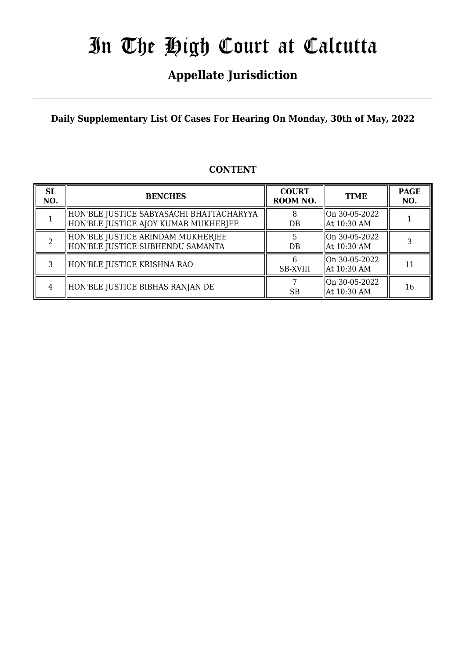### **Appellate Jurisdiction**

**Daily Supplementary List Of Cases For Hearing On Monday, 30th of May, 2022**

### **CONTENT**

| <b>SL</b><br>NO. | <b>BENCHES</b>                                                                   | <b>COURT</b><br>ROOM NO. | <b>TIME</b>                             | <b>PAGE</b><br>NO. |
|------------------|----------------------------------------------------------------------------------|--------------------------|-----------------------------------------|--------------------|
|                  | HON'BLE JUSTICE SABYASACHI BHATTACHARYYA<br>HON'BLE JUSTICE AJOY KUMAR MUKHERJEE | 8<br>DB                  | $ On 30-05-2022$<br>At $10:30$ AM       |                    |
|                  | HON'BLE JUSTICE ARINDAM MUKHERJEE<br>  HON'BLE JUSTICE SUBHENDU SAMANTA          | $DB$                     | $ On 30-05-2022$<br>At 10:30 AM         |                    |
| 3                | HON'BLE JUSTICE KRISHNA RAO                                                      | <b>SB-XVIII</b>          | $\gamma$ on 30-05-2022<br>  At 10:30 AM | 11                 |
| 4                | HON'BLE JUSTICE BIBHAS RANJAN DE                                                 | SB                       | $\gamma$ on 30-05-2022<br>At 10:30 AM   | 16                 |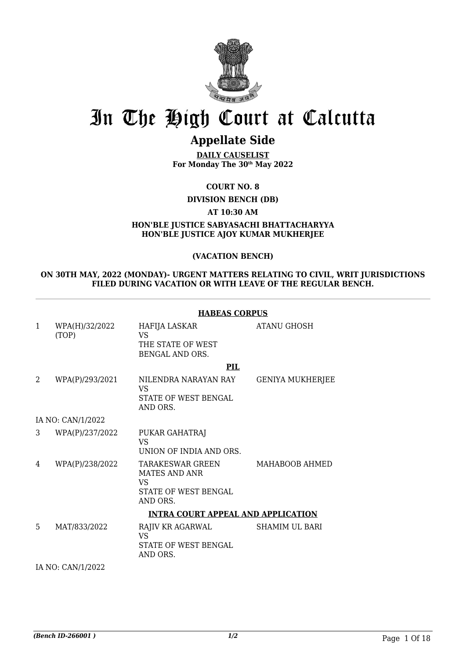

### **Appellate Side**

**DAILY CAUSELIST For Monday The 30th May 2022**

**COURT NO. 8**

**DIVISION BENCH (DB)**

**AT 10:30 AM**

**HON'BLE JUSTICE SABYASACHI BHATTACHARYYA HON'BLE JUSTICE AJOY KUMAR MUKHERJEE**

#### **(VACATION BENCH)**

#### **ON 30TH MAY, 2022 (MONDAY)- URGENT MATTERS RELATING TO CIVIL, WRIT JURISDICTIONS FILED DURING VACATION OR WITH LEAVE OF THE REGULAR BENCH.**

**HABEAS CORPUS**

|                |                         | NADLAS UURPUS                                                                |                       |
|----------------|-------------------------|------------------------------------------------------------------------------|-----------------------|
| 1              | WPA(H)/32/2022<br>(TOP) | HAFIJA LASKAR<br><b>VS</b><br>THE STATE OF WEST<br><b>BENGAL AND ORS.</b>    | ATANU GHOSH           |
|                |                         | PIL                                                                          |                       |
| $\overline{2}$ | WPA(P)/293/2021         | NILENDRA NARAYAN RAY<br>VS<br>STATE OF WEST BENGAL<br>AND ORS.               | GENIYA MUKHERJEE      |
|                | IA NO: CAN/1/2022       |                                                                              |                       |
| 3              | WPA(P)/237/2022         | PUKAR GAHATRAJ<br>VS.<br>UNION OF INDIA AND ORS.                             |                       |
| 4              | WPA(P)/238/2022         | TARAKESWAR GREEN<br>MATES AND ANR<br>VS.<br>STATE OF WEST BENGAL<br>AND ORS. | MAHABOOB AHMED        |
|                |                         | <b>INTRA COURT APPEAL AND APPLICATION</b>                                    |                       |
| 5              | MAT/833/2022            | RAJIV KR AGARWAL<br><b>VS</b><br>STATE OF WEST BENGAL<br>AND ORS.            | <b>SHAMIM UL BARI</b> |

IA NO: CAN/1/2022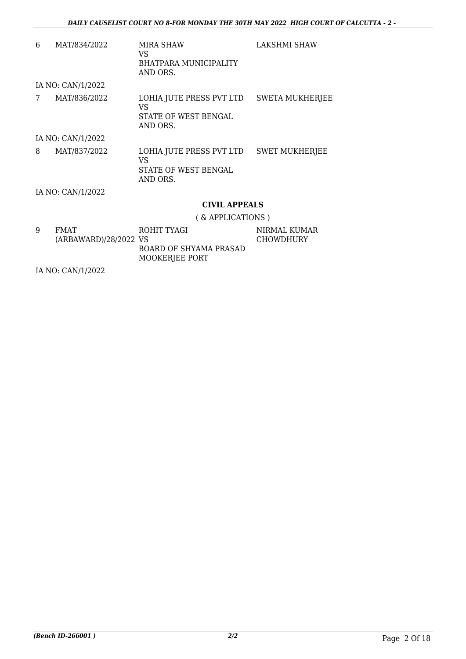| 6 | MAT/834/2022      | MIRA SHAW<br>VS<br>BHATPARA MUNICIPALITY<br>AND ORS.                | LAKSHMI SHAW           |
|---|-------------------|---------------------------------------------------------------------|------------------------|
|   | IA NO: CAN/1/2022 |                                                                     |                        |
| 7 | MAT/836/2022      | LOHIA JUTE PRESS PVT LTD<br>VS<br>STATE OF WEST BENGAL<br>AND ORS.  | <b>SWETA MUKHERJEE</b> |
|   | IA NO: CAN/1/2022 |                                                                     |                        |
| 8 | MAT/837/2022      | LOHIA JUTE PRESS PVT LTD<br>VS.<br>STATE OF WEST BENGAL<br>AND ORS. | <b>SWET MUKHERJEE</b>  |
|   | IA NO: CAN/1/2022 |                                                                     |                        |
|   |                   | <b>CIVIL APPEALS</b>                                                |                        |

( & APPLICATIONS )

| 9 | FMAT                  | ROHIT TYAGI            | NIRMAL KUMAR |
|---|-----------------------|------------------------|--------------|
|   | (ARBAWARD)/28/2022 VS |                        | CHOWDHURY    |
|   |                       |                        |              |
|   |                       | BOARD OF SHYAMA PRASAD |              |
|   |                       | MOOKERJEE PORT         |              |

IA NO: CAN/1/2022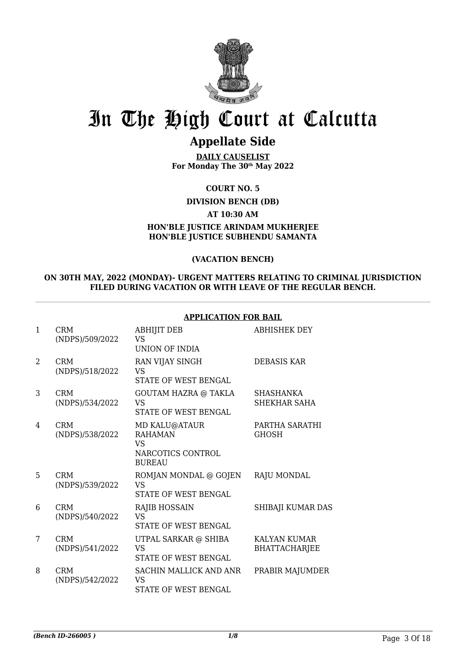

### **Appellate Side**

**DAILY CAUSELIST For Monday The 30th May 2022**

**COURT NO. 5**

**DIVISION BENCH (DB)**

**AT 10:30 AM**

**HON'BLE JUSTICE ARINDAM MUKHERJEE HON'BLE JUSTICE SUBHENDU SAMANTA**

#### **(VACATION BENCH)**

#### **ON 30TH MAY, 2022 (MONDAY)- URGENT MATTERS RELATING TO CRIMINAL JURISDICTION FILED DURING VACATION OR WITH LEAVE OF THE REGULAR BENCH.**

| $\mathbf{1}$   | <b>CRM</b><br>(NDPS)/509/2022 | <b>ABHIJIT DEB</b><br><b>VS</b><br>UNION OF INDIA                            | <b>ABHISHEK DEY</b>                         |
|----------------|-------------------------------|------------------------------------------------------------------------------|---------------------------------------------|
| $\mathfrak{D}$ | <b>CRM</b><br>(NDPS)/518/2022 | RAN VIJAY SINGH<br>VS<br><b>STATE OF WEST BENGAL</b>                         | <b>DEBASIS KAR</b>                          |
| 3              | <b>CRM</b><br>(NDPS)/534/2022 | <b>GOUTAM HAZRA @ TAKLA</b><br>VS<br><b>STATE OF WEST BENGAL</b>             | <b>SHASHANKA</b><br>SHEKHAR SAHA            |
| 4              | <b>CRM</b><br>(NDPS)/538/2022 | MD KALU@ATAUR<br><b>RAHAMAN</b><br>VS.<br>NARCOTICS CONTROL<br><b>BUREAU</b> | PARTHA SARATHI<br><b>GHOSH</b>              |
| 5              | <b>CRM</b><br>(NDPS)/539/2022 | ROMJAN MONDAL @ GOJEN<br><b>VS</b><br><b>STATE OF WEST BENGAL</b>            | RAJU MONDAL                                 |
| 6              | <b>CRM</b><br>(NDPS)/540/2022 | <b>RAJIB HOSSAIN</b><br><b>VS</b><br>STATE OF WEST BENGAL                    | SHIBAJI KUMAR DAS                           |
| 7              | <b>CRM</b><br>(NDPS)/541/2022 | UTPAL SARKAR @ SHIBA<br>VS<br><b>STATE OF WEST BENGAL</b>                    | <b>KALYAN KUMAR</b><br><b>BHATTACHARJEE</b> |
| 8              | <b>CRM</b><br>(NDPS)/542/2022 | SACHIN MALLICK AND ANR<br><b>VS</b><br><b>STATE OF WEST BENGAL</b>           | PRABIR MAJUMDER                             |

#### **APPLICATION FOR BAIL**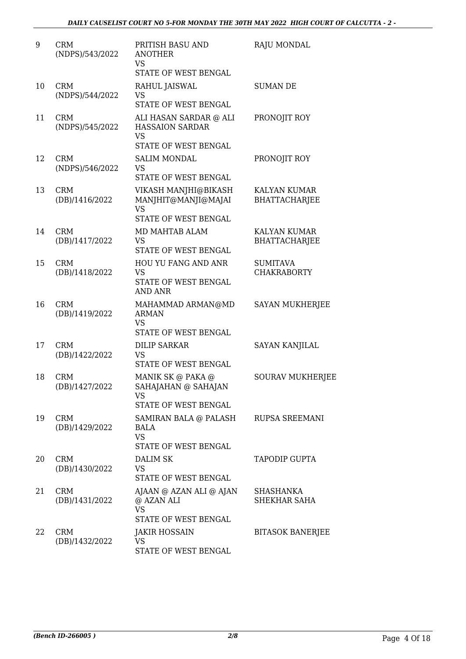| 9  | <b>CRM</b><br>(NDPS)/543/2022 | PRITISH BASU AND<br><b>ANOTHER</b><br>VS<br>STATE OF WEST BENGAL                      | <b>RAJU MONDAL</b>                          |
|----|-------------------------------|---------------------------------------------------------------------------------------|---------------------------------------------|
| 10 | <b>CRM</b><br>(NDPS)/544/2022 | RAHUL JAISWAL<br><b>VS</b><br>STATE OF WEST BENGAL                                    | <b>SUMAN DE</b>                             |
| 11 | <b>CRM</b><br>(NDPS)/545/2022 | ALI HASAN SARDAR @ ALI<br><b>HASSAION SARDAR</b><br><b>VS</b><br>STATE OF WEST BENGAL | PRONOJIT ROY                                |
| 12 | <b>CRM</b><br>(NDPS)/546/2022 | <b>SALIM MONDAL</b><br><b>VS</b><br>STATE OF WEST BENGAL                              | PRONOJIT ROY                                |
| 13 | <b>CRM</b><br>(DB)/1416/2022  | VIKASH MANJHI@BIKASH<br>MANJHIT@MANJI@MAJAI<br><b>VS</b>                              | <b>KALYAN KUMAR</b><br><b>BHATTACHARJEE</b> |
| 14 | <b>CRM</b><br>(DB)/1417/2022  | STATE OF WEST BENGAL<br>MD MAHTAB ALAM<br><b>VS</b><br>STATE OF WEST BENGAL           | <b>KALYAN KUMAR</b><br><b>BHATTACHARJEE</b> |
| 15 | <b>CRM</b><br>(DB)/1418/2022  | HOU YU FANG AND ANR<br><b>VS</b><br>STATE OF WEST BENGAL<br><b>AND ANR</b>            | <b>SUMITAVA</b><br><b>CHAKRABORTY</b>       |
| 16 | <b>CRM</b><br>(DB)/1419/2022  | MAHAMMAD ARMAN@MD<br><b>ARMAN</b><br><b>VS</b><br>STATE OF WEST BENGAL                | <b>SAYAN MUKHERJEE</b>                      |
| 17 | <b>CRM</b><br>(DB)/1422/2022  | <b>DILIP SARKAR</b><br>VS<br>STATE OF WEST BENGAL                                     | <b>SAYAN KANJILAL</b>                       |
| 18 | <b>CRM</b><br>(DB)/1427/2022  | MANIK SK @ PAKA @<br>SAHAJAHAN @ SAHAJAN<br><b>VS</b><br>STATE OF WEST BENGAL         | <b>SOURAV MUKHERJEE</b>                     |
| 19 | <b>CRM</b><br>(DB)/1429/2022  | SAMIRAN BALA @ PALASH<br><b>BALA</b><br><b>VS</b><br>STATE OF WEST BENGAL             | <b>RUPSA SREEMANI</b>                       |
| 20 | <b>CRM</b><br>(DB)/1430/2022  | DALIM SK<br><b>VS</b><br>STATE OF WEST BENGAL                                         | TAPODIP GUPTA                               |
| 21 | <b>CRM</b><br>(DB)/1431/2022  | AJAAN @ AZAN ALI @ AJAN<br>@ AZAN ALI<br><b>VS</b><br>STATE OF WEST BENGAL            | SHASHANKA<br>SHEKHAR SAHA                   |
| 22 | <b>CRM</b><br>(DB)/1432/2022  | <b>JAKIR HOSSAIN</b><br><b>VS</b><br>STATE OF WEST BENGAL                             | <b>BITASOK BANERJEE</b>                     |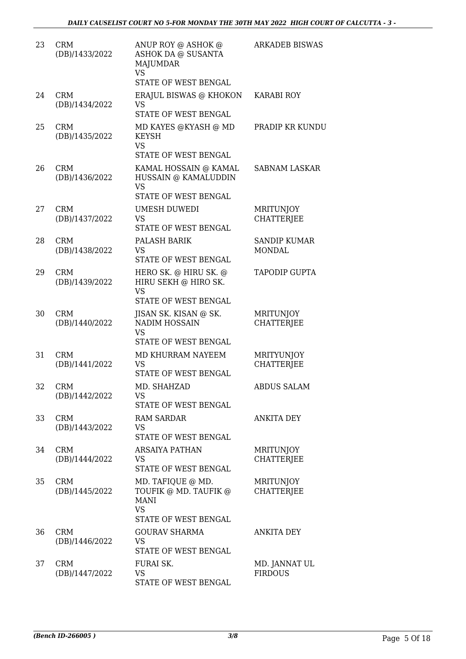| 23 | <b>CRM</b><br>(DB)/1433/2022 | ANUP ROY @ ASHOK @<br>ASHOK DA @ SUSANTA<br><b>MAJUMDAR</b><br><b>VS</b>                       | <b>ARKADEB BISWAS</b>                 |
|----|------------------------------|------------------------------------------------------------------------------------------------|---------------------------------------|
| 24 | <b>CRM</b><br>(DB)/1434/2022 | STATE OF WEST BENGAL<br>ERAJUL BISWAS @ KHOKON<br>VS                                           | <b>KARABI ROY</b>                     |
|    |                              | STATE OF WEST BENGAL                                                                           |                                       |
| 25 | <b>CRM</b><br>(DB)/1435/2022 | MD KAYES @KYASH @ MD<br>KEYSH<br><b>VS</b><br>STATE OF WEST BENGAL                             | PRADIP KR KUNDU                       |
| 26 | <b>CRM</b><br>(DB)/1436/2022 | KAMAL HOSSAIN @ KAMAL<br>HUSSAIN @ KAMALUDDIN<br><b>VS</b>                                     | <b>SABNAM LASKAR</b>                  |
|    |                              | STATE OF WEST BENGAL                                                                           |                                       |
| 27 | <b>CRM</b><br>(DB)/1437/2022 | <b>UMESH DUWEDI</b><br>VS<br>STATE OF WEST BENGAL                                              | <b>MRITUNJOY</b><br><b>CHATTERJEE</b> |
| 28 | <b>CRM</b>                   | PALASH BARIK                                                                                   | <b>SANDIP KUMAR</b>                   |
|    | (DB)/1438/2022               | VS<br>STATE OF WEST BENGAL                                                                     | <b>MONDAL</b>                         |
| 29 | <b>CRM</b><br>(DB)/1439/2022 | HERO SK. @ HIRU SK. @<br>HIRU SEKH @ HIRO SK.<br><b>VS</b>                                     | TAPODIP GUPTA                         |
|    |                              | STATE OF WEST BENGAL                                                                           |                                       |
| 30 | <b>CRM</b><br>(DB)/1440/2022 | JISAN SK. KISAN @ SK.<br><b>NADIM HOSSAIN</b><br><b>VS</b>                                     | MRITUNJOY<br><b>CHATTERJEE</b>        |
|    |                              | STATE OF WEST BENGAL                                                                           |                                       |
| 31 | <b>CRM</b><br>(DB)/1441/2022 | MD KHURRAM NAYEEM<br>VS<br><b>STATE OF WEST BENGAL</b>                                         | MRITYUNJOY<br><b>CHATTERJEE</b>       |
| 32 | <b>CRM</b><br>(DB)/1442/2022 | MD. SHAHZAD<br>VS<br>STATE OF WEST BENGAL                                                      | ABDUS SALAM                           |
| 33 | <b>CRM</b>                   | RAM SARDAR                                                                                     | <b>ANKITA DEY</b>                     |
|    | (DB)/1443/2022               | VS<br>STATE OF WEST BENGAL                                                                     |                                       |
| 34 | <b>CRM</b><br>(DB)/1444/2022 | ARSAIYA PATHAN<br>VS<br>STATE OF WEST BENGAL                                                   | <b>MRITUNJOY</b><br><b>CHATTERJEE</b> |
| 35 | <b>CRM</b><br>(DB)/1445/2022 | MD. TAFIQUE @ MD.<br>TOUFIK @ MD. TAUFIK @<br><b>MANI</b><br><b>VS</b><br>STATE OF WEST BENGAL | MRITUNJOY<br><b>CHATTERJEE</b>        |
| 36 | <b>CRM</b><br>(DB)/1446/2022 | <b>GOURAV SHARMA</b><br><b>VS</b><br>STATE OF WEST BENGAL                                      | ANKITA DEY                            |
| 37 | <b>CRM</b><br>(DB)/1447/2022 | FURAI SK.<br>VS<br>STATE OF WEST BENGAL                                                        | MD. JANNAT UL<br><b>FIRDOUS</b>       |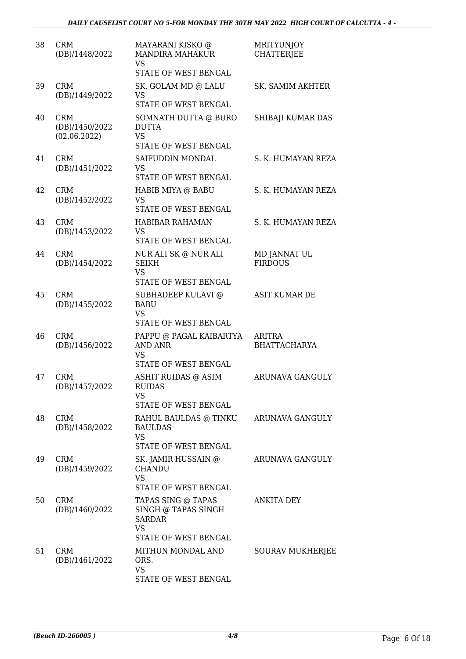| 38 | <b>CRM</b><br>(DB)/1448/2022                 | MAYARANI KISKO @<br><b>MANDIRA MAHAKUR</b><br><b>VS</b><br>STATE OF WEST BENGAL                 | <b>MRITYUNJOY</b><br><b>CHATTERJEE</b> |
|----|----------------------------------------------|-------------------------------------------------------------------------------------------------|----------------------------------------|
| 39 | <b>CRM</b><br>(DB)/1449/2022                 | SK. GOLAM MD @ LALU<br>VS<br>STATE OF WEST BENGAL                                               | SK. SAMIM AKHTER                       |
| 40 | <b>CRM</b><br>(DB)/1450/2022<br>(02.06.2022) | SOMNATH DUTTA @ BURO<br><b>DUTTA</b><br><b>VS</b><br>STATE OF WEST BENGAL                       | SHIBAJI KUMAR DAS                      |
| 41 | <b>CRM</b><br>(DB)/1451/2022                 | SAIFUDDIN MONDAL<br>VS<br>STATE OF WEST BENGAL                                                  | S. K. HUMAYAN REZA                     |
| 42 | <b>CRM</b><br>(DB)/1452/2022                 | HABIB MIYA @ BABU<br>VS<br>STATE OF WEST BENGAL                                                 | S. K. HUMAYAN REZA                     |
| 43 | <b>CRM</b><br>(DB)/1453/2022                 | HABIBAR RAHAMAN<br>VS<br>STATE OF WEST BENGAL                                                   | S. K. HUMAYAN REZA                     |
| 44 | <b>CRM</b><br>(DB)/1454/2022                 | NUR ALI SK @ NUR ALI<br><b>SEIKH</b><br><b>VS</b><br>STATE OF WEST BENGAL                       | MD JANNAT UL<br><b>FIRDOUS</b>         |
| 45 | <b>CRM</b><br>(DB)/1455/2022                 | SUBHADEEP KULAVI @<br><b>BABU</b><br>VS<br>STATE OF WEST BENGAL                                 | ASIT KUMAR DE                          |
| 46 | <b>CRM</b><br>(DB)/1456/2022                 | PAPPU @ PAGAL KAIBARTYA<br><b>AND ANR</b><br>VS<br>STATE OF WEST BENGAL                         | ARITRA<br><b>BHATTACHARYA</b>          |
| 47 | <b>CRM</b><br>(DB)/1457/2022                 | ASHIT RUIDAS @ ASIM<br>RUIDAS<br>VS<br>STATE OF WEST BENGAL                                     | <b>ARUNAVA GANGULY</b>                 |
| 48 | <b>CRM</b><br>(DB)/1458/2022                 | RAHUL BAULDAS @ TINKU<br><b>BAULDAS</b><br><b>VS</b><br>STATE OF WEST BENGAL                    | <b>ARUNAVA GANGULY</b>                 |
| 49 | <b>CRM</b><br>(DB)/1459/2022                 | SK. JAMIR HUSSAIN @<br><b>CHANDU</b><br><b>VS</b><br>STATE OF WEST BENGAL                       | ARUNAVA GANGULY                        |
| 50 | <b>CRM</b><br>(DB)/1460/2022                 | TAPAS SING @ TAPAS<br>SINGH @ TAPAS SINGH<br><b>SARDAR</b><br><b>VS</b><br>STATE OF WEST BENGAL | ANKITA DEY                             |
| 51 | <b>CRM</b><br>(DB)/1461/2022                 | MITHUN MONDAL AND<br>ORS.<br>VS<br>STATE OF WEST BENGAL                                         | SOURAV MUKHERJEE                       |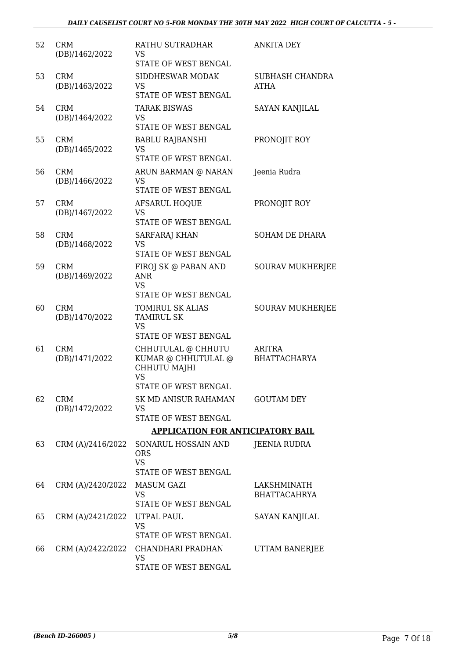| 52 | <b>CRM</b><br>(DB)/1462/2022 | RATHU SUTRADHAR<br>VS<br>STATE OF WEST BENGAL                                                  | ANKITA DEY                           |
|----|------------------------------|------------------------------------------------------------------------------------------------|--------------------------------------|
| 53 | <b>CRM</b><br>(DB)/1463/2022 | SIDDHESWAR MODAK<br><b>VS</b><br>STATE OF WEST BENGAL                                          | SUBHASH CHANDRA<br><b>ATHA</b>       |
| 54 | <b>CRM</b><br>(DB)/1464/2022 | <b>TARAK BISWAS</b><br>VS<br>STATE OF WEST BENGAL                                              | SAYAN KANJILAL                       |
| 55 | <b>CRM</b><br>(DB)/1465/2022 | <b>BABLU RAJBANSHI</b><br>VS<br>STATE OF WEST BENGAL                                           | PRONOJIT ROY                         |
| 56 | <b>CRM</b><br>(DB)/1466/2022 | ARUN BARMAN @ NARAN<br><b>VS</b><br>STATE OF WEST BENGAL                                       | Jeenia Rudra                         |
| 57 | <b>CRM</b><br>(DB)/1467/2022 | <b>AFSARUL HOQUE</b><br><b>VS</b><br><b>STATE OF WEST BENGAL</b>                               | PRONOJIT ROY                         |
| 58 | <b>CRM</b><br>(DB)/1468/2022 | SARFARAJ KHAN<br><b>VS</b><br><b>STATE OF WEST BENGAL</b>                                      | SOHAM DE DHARA                       |
| 59 | <b>CRM</b><br>(DB)/1469/2022 | FIROJ SK @ PABAN AND<br><b>ANR</b><br><b>VS</b><br>STATE OF WEST BENGAL                        | <b>SOURAV MUKHERJEE</b>              |
| 60 | <b>CRM</b><br>(DB)/1470/2022 | TOMIRUL SK ALIAS<br><b>TAMIRUL SK</b><br><b>VS</b>                                             | <b>SOURAV MUKHERJEE</b>              |
|    |                              | STATE OF WEST BENGAL                                                                           |                                      |
| 61 | <b>CRM</b><br>(DB)/1471/2022 | CHHUTULAL @ CHHUTU<br>KUMAR @ CHHUTULAL @<br>CHHUTU MAJHI<br><b>VS</b><br>STATE OF WEST BENGAL | <b>ARITRA</b><br><b>BHATTACHARYA</b> |
| 62 | <b>CRM</b><br>(DB)/1472/2022 | SK MD ANISUR RAHAMAN<br>VS<br>STATE OF WEST BENGAL                                             | <b>GOUTAM DEY</b>                    |
|    |                              | <b>APPLICATION FOR ANTICIPATORY BAIL</b>                                                       |                                      |
| 63 | CRM (A)/2416/2022            | SONARUL HOSSAIN AND<br><b>ORS</b><br><b>VS</b><br>STATE OF WEST BENGAL                         | <b>JEENIA RUDRA</b>                  |
| 64 | CRM (A)/2420/2022            | MASUM GAZI<br><b>VS</b><br>STATE OF WEST BENGAL                                                | LAKSHMINATH<br><b>BHATTACAHRYA</b>   |
| 65 | CRM (A)/2421/2022            | UTPAL PAUL<br><b>VS</b><br>STATE OF WEST BENGAL                                                | SAYAN KANJILAL                       |
| 66 | CRM (A)/2422/2022            | CHANDHARI PRADHAN<br><b>VS</b><br>STATE OF WEST BENGAL                                         | UTTAM BANERJEE                       |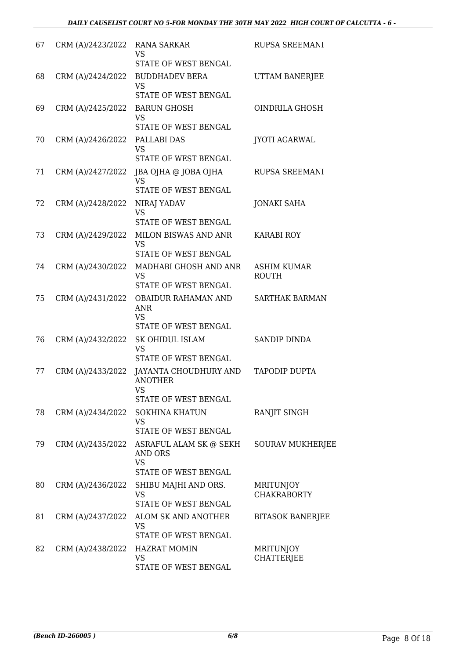| 67 | CRM (A)/2423/2022 | RANA SARKAR<br><b>VS</b><br>STATE OF WEST BENGAL                             | <b>RUPSA SREEMANI</b>              |
|----|-------------------|------------------------------------------------------------------------------|------------------------------------|
| 68 | CRM (A)/2424/2022 | <b>BUDDHADEV BERA</b><br><b>VS</b><br>STATE OF WEST BENGAL                   | UTTAM BANERJEE                     |
| 69 | CRM (A)/2425/2022 | <b>BARUN GHOSH</b><br><b>VS</b><br>STATE OF WEST BENGAL                      | OINDRILA GHOSH                     |
| 70 | CRM (A)/2426/2022 | <b>PALLABI DAS</b><br><b>VS</b><br>STATE OF WEST BENGAL                      | <b>JYOTI AGARWAL</b>               |
| 71 | CRM (A)/2427/2022 | JBA OJHA @ JOBA OJHA<br><b>VS</b><br>STATE OF WEST BENGAL                    | RUPSA SREEMANI                     |
| 72 | CRM (A)/2428/2022 | NIRAJ YADAV<br><b>VS</b><br>STATE OF WEST BENGAL                             | <b>JONAKI SAHA</b>                 |
| 73 | CRM (A)/2429/2022 | MILON BISWAS AND ANR<br><b>VS</b><br><b>STATE OF WEST BENGAL</b>             | <b>KARABI ROY</b>                  |
| 74 | CRM (A)/2430/2022 | MADHABI GHOSH AND ANR<br><b>VS</b><br>STATE OF WEST BENGAL                   | <b>ASHIM KUMAR</b><br><b>ROUTH</b> |
| 75 | CRM (A)/2431/2022 | OBAIDUR RAHAMAN AND<br><b>ANR</b><br><b>VS</b><br>STATE OF WEST BENGAL       | <b>SARTHAK BARMAN</b>              |
| 76 | CRM (A)/2432/2022 | <b>SK OHIDUL ISLAM</b><br><b>VS</b><br><b>STATE OF WEST BENGAL</b>           | <b>SANDIP DINDA</b>                |
| 77 | CRM (A)/2433/2022 | JAYANTA CHOUDHURY AND<br><b>ANOTHER</b><br>VS<br><b>STATE OF WEST BENGAL</b> | <b>TAPODIP DUPTA</b>               |
| 78 | CRM (A)/2434/2022 | <b>SOKHINA KHATUN</b><br><b>VS</b><br>STATE OF WEST BENGAL                   | RANJIT SINGH                       |
| 79 | CRM (A)/2435/2022 | ASRAFUL ALAM SK @ SEKH<br>AND ORS<br><b>VS</b><br>STATE OF WEST BENGAL       | <b>SOURAV MUKHERJEE</b>            |
| 80 | CRM (A)/2436/2022 | SHIBU MAJHI AND ORS.<br><b>VS</b><br>STATE OF WEST BENGAL                    | MRITUNJOY<br><b>CHAKRABORTY</b>    |
| 81 | CRM (A)/2437/2022 | ALOM SK AND ANOTHER<br>VS<br>STATE OF WEST BENGAL                            | <b>BITASOK BANERJEE</b>            |
| 82 | CRM (A)/2438/2022 | <b>HAZRAT MOMIN</b><br><b>VS</b><br>STATE OF WEST BENGAL                     | MRITUNJOY<br><b>CHATTERJEE</b>     |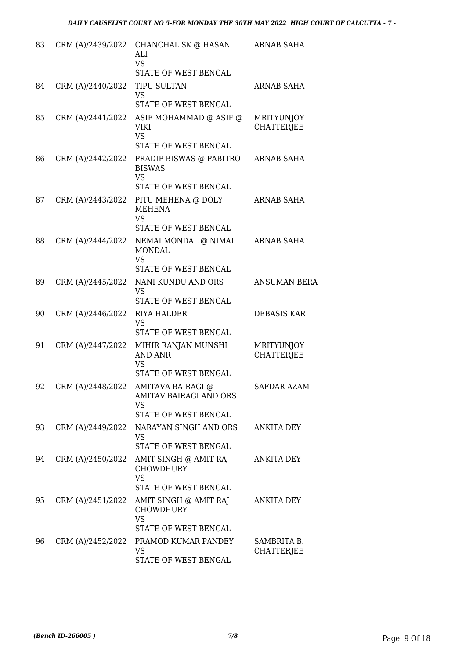| 83 |                   | CRM (A)/2439/2022 CHANCHAL SK @ HASAN<br>ALI<br><b>VS</b>                                                                     | <b>ARNAB SAHA</b>                      |
|----|-------------------|-------------------------------------------------------------------------------------------------------------------------------|----------------------------------------|
|    |                   | STATE OF WEST BENGAL                                                                                                          |                                        |
| 84 | CRM (A)/2440/2022 | <b>TIPU SULTAN</b><br><b>VS</b><br>STATE OF WEST BENGAL                                                                       | <b>ARNAB SAHA</b>                      |
| 85 | CRM (A)/2441/2022 | ASIF MOHAMMAD @ ASIF @<br><b>VIKI</b><br><b>VS</b>                                                                            | MRITYUNJOY<br><b>CHATTERJEE</b>        |
| 86 | CRM (A)/2442/2022 | STATE OF WEST BENGAL<br>PRADIP BISWAS @ PABITRO<br><b>BISWAS</b><br><b>VS</b>                                                 | <b>ARNAB SAHA</b>                      |
| 87 |                   | STATE OF WEST BENGAL<br>CRM (A)/2443/2022 PITU MEHENA @ DOLY<br><b>MEHENA</b><br><b>VS</b>                                    | ARNAB SAHA                             |
| 88 | CRM (A)/2444/2022 | STATE OF WEST BENGAL<br>NEMAI MONDAL @ NIMAI<br><b>MONDAL</b><br><b>VS</b>                                                    | ARNAB SAHA                             |
| 89 | CRM (A)/2445/2022 | STATE OF WEST BENGAL<br>NANI KUNDU AND ORS<br><b>VS</b><br>STATE OF WEST BENGAL                                               | <b>ANSUMAN BERA</b>                    |
| 90 | CRM (A)/2446/2022 | RIYA HALDER<br><b>VS</b><br>STATE OF WEST BENGAL                                                                              | <b>DEBASIS KAR</b>                     |
| 91 | CRM (A)/2447/2022 | MIHIR RANJAN MUNSHI<br><b>AND ANR</b><br><b>VS</b>                                                                            | <b>MRITYUNJOY</b><br><b>CHATTERJEE</b> |
|    |                   | STATE OF WEST BENGAL<br>92 CRM (A)/2448/2022 AMITAVA BAIRAGI @<br>AMITAV BAIRAGI AND ORS<br><b>VS</b><br>STATE OF WEST BENGAL | SAFDAR AZAM                            |
| 93 |                   | CRM (A)/2449/2022 NARAYAN SINGH AND ORS<br><b>VS</b><br>STATE OF WEST BENGAL                                                  | <b>ANKITA DEY</b>                      |
| 94 | CRM (A)/2450/2022 | AMIT SINGH @ AMIT RAJ<br><b>CHOWDHURY</b><br><b>VS</b><br>STATE OF WEST BENGAL                                                | <b>ANKITA DEY</b>                      |
| 95 |                   | CRM (A)/2451/2022 AMIT SINGH @ AMIT RAJ<br><b>CHOWDHURY</b><br><b>VS</b><br>STATE OF WEST BENGAL                              | ANKITA DEY                             |
| 96 |                   | CRM (A)/2452/2022 PRAMOD KUMAR PANDEY<br><b>VS</b><br>STATE OF WEST BENGAL                                                    | SAMBRITA B.<br><b>CHATTERJEE</b>       |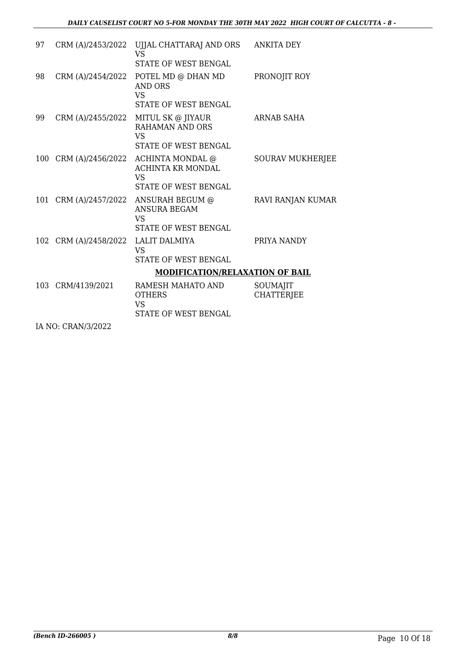| 97 |                       | CRM (A)/2453/2022 UJJAL CHATTARAJ AND ORS<br><b>VS</b>                                                         | <b>ANKITA DEY</b>             |
|----|-----------------------|----------------------------------------------------------------------------------------------------------------|-------------------------------|
|    |                       | <b>STATE OF WEST BENGAL</b>                                                                                    |                               |
| 98 | CRM (A)/2454/2022     | POTEL MD @ DHAN MD<br><b>AND ORS</b><br><b>VS</b>                                                              | PRONOJIT ROY                  |
|    |                       | STATE OF WEST BENGAL                                                                                           |                               |
| 99 |                       | CRM (A)/2455/2022 MITUL SK @ JIYAUR<br><b>RAHAMAN AND ORS</b><br><b>VS</b>                                     | <b>ARNAB SAHA</b>             |
|    |                       | <b>STATE OF WEST BENGAL</b>                                                                                    |                               |
|    | 100 CRM (A)/2456/2022 | ACHINTA MONDAL @<br><b>ACHINTA KR MONDAL</b><br><b>VS</b><br>STATE OF WEST BENGAL                              | <b>SOURAV MUKHERJEE</b>       |
|    |                       | 101 CRM (A)/2457/2022 ANSURAH BEGUM @<br><b>ANSURA BEGAM</b><br>VS <sub>1</sub><br><b>STATE OF WEST BENGAL</b> | RAVI RANJAN KUMAR             |
|    | 102 CRM (A)/2458/2022 | LALIT DALMIYA<br><b>VS</b><br><b>STATE OF WEST BENGAL</b>                                                      | PRIYA NANDY                   |
|    |                       | <b>MODIFICATION/RELAXATION OF BAIL</b>                                                                         |                               |
|    | 103 CRM/4139/2021     | RAMESH MAHATO AND<br><b>OTHERS</b><br><b>VS</b><br>STATE OF WEST BENGAL                                        | SOUMAJIT<br><b>CHATTERJEE</b> |
|    | IA NO: CRAN/3/2022    |                                                                                                                |                               |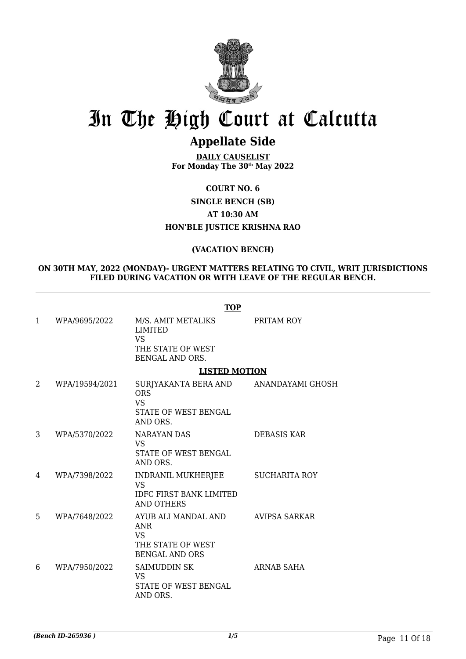

### **Appellate Side**

**DAILY CAUSELIST For Monday The 30th May 2022**

**COURT NO. 6 SINGLE BENCH (SB) AT 10:30 AM HON'BLE JUSTICE KRISHNA RAO**

#### **(VACATION BENCH)**

#### **ON 30TH MAY, 2022 (MONDAY)- URGENT MATTERS RELATING TO CIVIL, WRIT JURISDICTIONS FILED DURING VACATION OR WITH LEAVE OF THE REGULAR BENCH.**

|              |                | <b>TOP</b>                                                                                           |                      |
|--------------|----------------|------------------------------------------------------------------------------------------------------|----------------------|
| $\mathbf{1}$ | WPA/9695/2022  | M/S. AMIT METALIKS<br><b>LIMITED</b><br><b>VS</b><br>THE STATE OF WEST<br><b>BENGAL AND ORS.</b>     | PRITAM ROY           |
|              |                | <b>LISTED MOTION</b>                                                                                 |                      |
| 2            | WPA/19594/2021 | SURJYAKANTA BERA AND ANANDAYAMI GHOSH<br><b>ORS</b><br><b>VS</b><br>STATE OF WEST BENGAL<br>AND ORS. |                      |
| 3            | WPA/5370/2022  | NARAYAN DAS<br><b>VS</b><br><b>STATE OF WEST BENGAL</b><br>AND ORS.                                  | <b>DEBASIS KAR</b>   |
| 4            | WPA/7398/2022  | INDRANIL MUKHERJEE<br>VS<br><b>IDFC FIRST BANK LIMITED</b><br><b>AND OTHERS</b>                      | <b>SUCHARITA ROY</b> |
| 5            | WPA/7648/2022  | AYUB ALI MANDAL AND<br><b>ANR</b><br><b>VS</b><br>THE STATE OF WEST<br><b>BENGAL AND ORS</b>         | AVIPSA SARKAR        |
| 6            | WPA/7950/2022  | <b>SAIMUDDIN SK</b><br>VS<br>STATE OF WEST BENGAL<br>AND ORS.                                        | <b>ARNAB SAHA</b>    |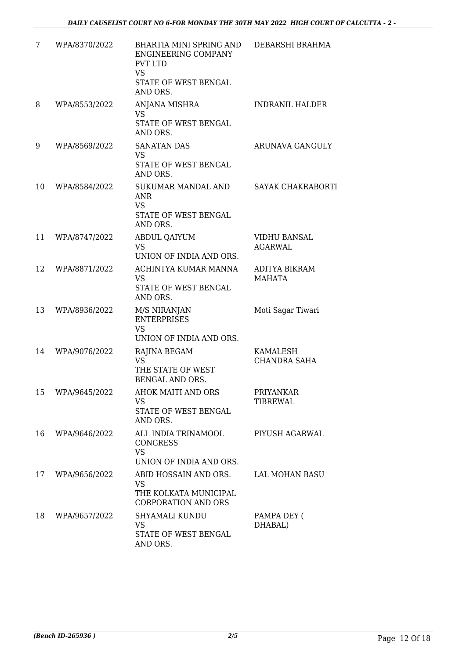| 7  | WPA/8370/2022 | BHARTIA MINI SPRING AND<br><b>ENGINEERING COMPANY</b><br><b>PVT LTD</b><br><b>VS</b><br>STATE OF WEST BENGAL<br>AND ORS. | DEBARSHI BRAHMA                       |
|----|---------------|--------------------------------------------------------------------------------------------------------------------------|---------------------------------------|
| 8  | WPA/8553/2022 | ANJANA MISHRA<br>VS<br>STATE OF WEST BENGAL<br>AND ORS.                                                                  | <b>INDRANIL HALDER</b>                |
| 9  | WPA/8569/2022 | <b>SANATAN DAS</b><br><b>VS</b><br>STATE OF WEST BENGAL<br>AND ORS.                                                      | ARUNAVA GANGULY                       |
| 10 | WPA/8584/2022 | SUKUMAR MANDAL AND<br>ANR<br><b>VS</b><br>STATE OF WEST BENGAL<br>AND ORS.                                               | SAYAK CHAKRABORTI                     |
| 11 | WPA/8747/2022 | <b>ABDUL QAIYUM</b><br><b>VS</b><br>UNION OF INDIA AND ORS.                                                              | <b>VIDHU BANSAL</b><br><b>AGARWAL</b> |
| 12 | WPA/8871/2022 | ACHINTYA KUMAR MANNA<br><b>VS</b><br>STATE OF WEST BENGAL<br>AND ORS.                                                    | ADITYA BIKRAM<br><b>MAHATA</b>        |
| 13 | WPA/8936/2022 | M/S NIRANJAN<br><b>ENTERPRISES</b><br><b>VS</b><br>UNION OF INDIA AND ORS.                                               | Moti Sagar Tiwari                     |
| 14 | WPA/9076/2022 | RAJINA BEGAM<br><b>VS</b><br>THE STATE OF WEST<br>BENGAL AND ORS.                                                        | KAMALESH<br><b>CHANDRA SAHA</b>       |
| 15 | WPA/9645/2022 | AHOK MAITI AND ORS<br><b>VS</b><br>STATE OF WEST BENGAL<br>AND ORS.                                                      | <b>PRIYANKAR</b><br>TIBREWAL          |
| 16 | WPA/9646/2022 | ALL INDIA TRINAMOOL<br><b>CONGRESS</b><br><b>VS</b><br>UNION OF INDIA AND ORS.                                           | PIYUSH AGARWAL                        |
| 17 | WPA/9656/2022 | ABID HOSSAIN AND ORS.<br>VS<br>THE KOLKATA MUNICIPAL<br><b>CORPORATION AND ORS</b>                                       | LAL MOHAN BASU                        |
| 18 | WPA/9657/2022 | SHYAMALI KUNDU<br><b>VS</b><br>STATE OF WEST BENGAL<br>AND ORS.                                                          | PAMPA DEY (<br>DHABAL)                |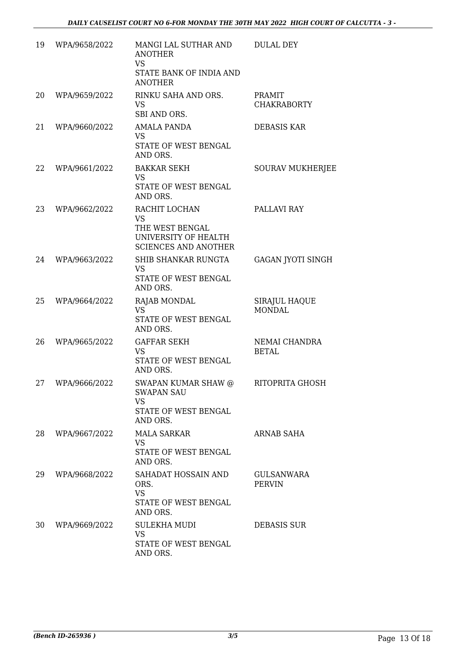| 19 | WPA/9658/2022 | MANGI LAL SUTHAR AND<br><b>ANOTHER</b><br><b>VS</b><br>STATE BANK OF INDIA AND<br><b>ANOTHER</b>     | <b>DULAL DEY</b>               |
|----|---------------|------------------------------------------------------------------------------------------------------|--------------------------------|
| 20 | WPA/9659/2022 | RINKU SAHA AND ORS.<br><b>VS</b><br>SBI AND ORS.                                                     | PRAMIT<br><b>CHAKRABORTY</b>   |
| 21 | WPA/9660/2022 | AMALA PANDA<br>VS<br>STATE OF WEST BENGAL<br>AND ORS.                                                | <b>DEBASIS KAR</b>             |
| 22 | WPA/9661/2022 | <b>BAKKAR SEKH</b><br>VS<br>STATE OF WEST BENGAL<br>AND ORS.                                         | SOURAV MUKHERJEE               |
| 23 | WPA/9662/2022 | RACHIT LOCHAN<br><b>VS</b><br>THE WEST BENGAL<br>UNIVERSITY OF HEALTH<br><b>SCIENCES AND ANOTHER</b> | PALLAVI RAY                    |
| 24 | WPA/9663/2022 | SHIB SHANKAR RUNGTA<br>VS<br>STATE OF WEST BENGAL<br>AND ORS.                                        | GAGAN JYOTI SINGH              |
| 25 | WPA/9664/2022 | RAJAB MONDAL<br><b>VS</b><br>STATE OF WEST BENGAL<br>AND ORS.                                        | SIRAJUL HAQUE<br><b>MONDAL</b> |
| 26 | WPA/9665/2022 | <b>GAFFAR SEKH</b><br><b>VS</b><br>STATE OF WEST BENGAL<br>AND ORS.                                  | NEMAI CHANDRA<br><b>BETAL</b>  |
| 27 | WPA/9666/2022 | <b>SWAPAN KUMAR SHAW @</b><br><b>SWAPAN SAU</b><br><b>VS</b><br>STATE OF WEST BENGAL<br>AND ORS.     | RITOPRITA GHOSH                |
| 28 | WPA/9667/2022 | <b>MALA SARKAR</b><br>VS<br>STATE OF WEST BENGAL<br>AND ORS.                                         | ARNAB SAHA                     |
| 29 | WPA/9668/2022 | SAHADAT HOSSAIN AND<br>ORS.<br><b>VS</b><br>STATE OF WEST BENGAL<br>AND ORS.                         | GULSANWARA<br><b>PERVIN</b>    |
| 30 | WPA/9669/2022 | <b>SULEKHA MUDI</b><br>VS.<br>STATE OF WEST BENGAL<br>AND ORS.                                       | DEBASIS SUR                    |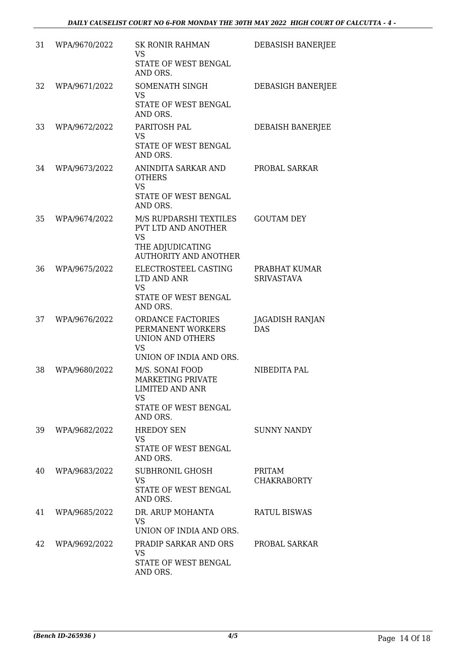| 31 | WPA/9670/2022 | <b>SK RONIR RAHMAN</b><br><b>VS</b><br>STATE OF WEST BENGAL<br>AND ORS.                                         | DEBASISH BANERJEE                  |
|----|---------------|-----------------------------------------------------------------------------------------------------------------|------------------------------------|
| 32 | WPA/9671/2022 | SOMENATH SINGH<br><b>VS</b><br>STATE OF WEST BENGAL<br>AND ORS.                                                 | DEBASIGH BANERJEE                  |
| 33 | WPA/9672/2022 | PARITOSH PAL<br>VS.<br>STATE OF WEST BENGAL<br>AND ORS.                                                         | DEBAISH BANERJEE                   |
| 34 | WPA/9673/2022 | ANINDITA SARKAR AND<br><b>OTHERS</b><br><b>VS</b><br>STATE OF WEST BENGAL<br>AND ORS.                           | PROBAL SARKAR                      |
| 35 | WPA/9674/2022 | M/S RUPDARSHI TEXTILES<br>PVT LTD AND ANOTHER<br><b>VS</b><br>THE ADJUDICATING<br><b>AUTHORITY AND ANOTHER</b>  | <b>GOUTAM DEY</b>                  |
| 36 | WPA/9675/2022 | ELECTROSTEEL CASTING<br>LTD AND ANR<br><b>VS</b><br>STATE OF WEST BENGAL<br>AND ORS.                            | PRABHAT KUMAR<br><b>SRIVASTAVA</b> |
| 37 | WPA/9676/2022 | ORDANCE FACTORIES<br>PERMANENT WORKERS<br>UNION AND OTHERS<br><b>VS</b><br>UNION OF INDIA AND ORS.              | JAGADISH RANJAN<br><b>DAS</b>      |
| 38 | WPA/9680/2022 | M/S. SONAI FOOD<br><b>MARKETING PRIVATE</b><br>LIMITED AND ANR<br><b>VS</b><br>STATE OF WEST BENGAL<br>AND ORS. | NIBEDITA PAL                       |
| 39 | WPA/9682/2022 | <b>HREDOY SEN</b><br><b>VS</b><br>STATE OF WEST BENGAL<br>AND ORS.                                              | <b>SUNNY NANDY</b>                 |
| 40 | WPA/9683/2022 | SUBHRONIL GHOSH<br><b>VS</b><br>STATE OF WEST BENGAL<br>AND ORS.                                                | PRITAM<br><b>CHAKRABORTY</b>       |
| 41 | WPA/9685/2022 | DR. ARUP MOHANTA<br><b>VS</b><br>UNION OF INDIA AND ORS.                                                        | <b>RATUL BISWAS</b>                |
| 42 | WPA/9692/2022 | PRADIP SARKAR AND ORS<br><b>VS</b><br>STATE OF WEST BENGAL<br>AND ORS.                                          | PROBAL SARKAR                      |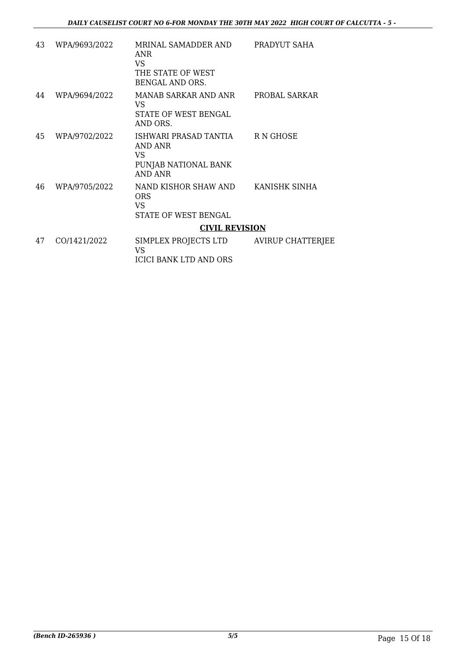| 43 | WPA/9693/2022 | MRINAL SAMADDER AND PRADYUT SAHA<br><b>ANR</b><br>VS.<br>THE STATE OF WEST<br>BENGAL AND ORS. |  |
|----|---------------|-----------------------------------------------------------------------------------------------|--|
| 44 | WPA/9694/2022 | MANAB SARKAR AND ANR PROBAL SARKAR<br>VS<br>STATE OF WEST BENGAL<br>AND ORS.                  |  |
| 45 | WPA/9702/2022 | ISHWARI PRASAD TANTIA R N GHOSE<br>AND ANR<br>VS.<br>PUNJAB NATIONAL BANK<br>AND ANR          |  |
| 46 | WPA/9705/2022 | NAND KISHOR SHAW AND KANISHK SINHA<br><b>ORS</b><br>VS.<br>STATE OF WEST BENGAL               |  |
|    |               | <b>CIVIL REVISION</b>                                                                         |  |
| 47 | CO/1421/2022  | SIMPLEX PROJECTS LTD AVIRUP CHATTERJEE<br><b>VS</b><br><b>ICICI BANK LTD AND ORS</b>          |  |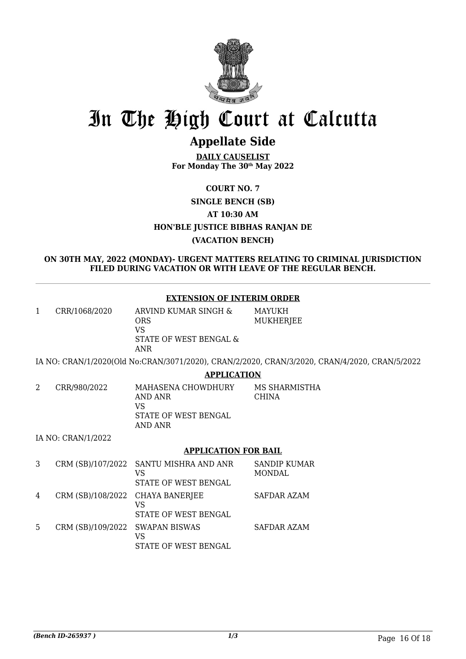

## **Appellate Side**

**DAILY CAUSELIST For Monday The 30th May 2022**

**COURT NO. 7 SINGLE BENCH (SB) AT 10:30 AM HON'BLE JUSTICE BIBHAS RANJAN DE (VACATION BENCH)**

**ON 30TH MAY, 2022 (MONDAY)- URGENT MATTERS RELATING TO CRIMINAL JURISDICTION FILED DURING VACATION OR WITH LEAVE OF THE REGULAR BENCH.**

#### **EXTENSION OF INTERIM ORDER**

| ARVIND KUMAR SINGH &<br>CRR/1068/2020<br>ORS<br>VS<br>STATE OF WEST BENGAL &<br>ANR | MAYUKH<br>MUKHERJEE |
|-------------------------------------------------------------------------------------|---------------------|
|-------------------------------------------------------------------------------------|---------------------|

IA NO: CRAN/1/2020(Old No:CRAN/3071/2020), CRAN/2/2020, CRAN/3/2020, CRAN/4/2020, CRAN/5/2022

#### **APPLICATION**

| CRR/980/2022 | MAHASENA CHOWDHURY<br>AND ANR<br>VS<br>STATE OF WEST BENGAL<br>AND ANR | MS SHARMISTHA<br><b>CHINA</b> |
|--------------|------------------------------------------------------------------------|-------------------------------|
|              |                                                                        |                               |

IA NO: CRAN/1/2022

#### **APPLICATION FOR BAIL**

| 3 |                                  | CRM (SB)/107/2022 SANTU MISHRA AND ANR<br>VS<br>STATE OF WEST BENGAL | <b>SANDIP KUMAR</b><br><b>MONDAL</b> |
|---|----------------------------------|----------------------------------------------------------------------|--------------------------------------|
| 4 | CRM (SB)/108/2022 CHAYA BANERJEE | VS<br>STATE OF WEST BENGAL                                           | SAFDAR AZAM                          |
| 5 | CRM (SB)/109/2022 SWAPAN BISWAS  | VS<br>STATE OF WEST BENGAL                                           | SAFDAR AZAM                          |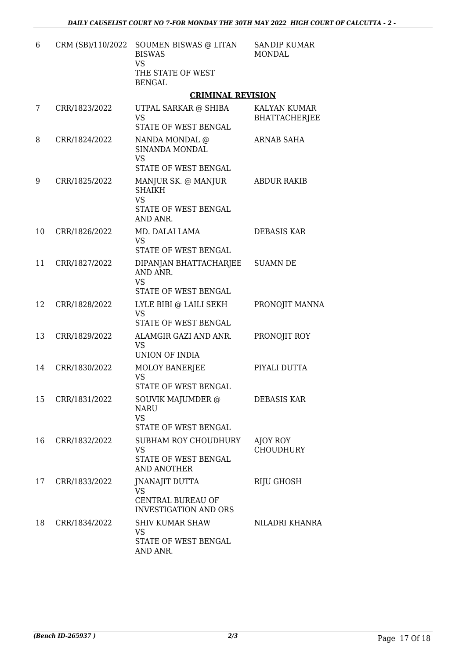| 6  | CRM (SB)/110/2022 | SOUMEN BISWAS @ LITAN<br><b>BISWAS</b><br><b>VS</b><br>THE STATE OF WEST<br><b>BENGAL</b> | <b>SANDIP KUMAR</b><br><b>MONDAL</b> |
|----|-------------------|-------------------------------------------------------------------------------------------|--------------------------------------|
|    |                   | <b>CRIMINAL REVISION</b>                                                                  |                                      |
| 7  | CRR/1823/2022     | UTPAL SARKAR @ SHIBA<br><b>VS</b><br>STATE OF WEST BENGAL                                 | KALYAN KUMAR<br><b>BHATTACHERJEE</b> |
| 8  | CRR/1824/2022     | NANDA MONDAL @<br>SINANDA MONDAL<br><b>VS</b><br>STATE OF WEST BENGAL                     | ARNAB SAHA                           |
| 9  | CRR/1825/2022     | MANJUR SK. @ MANJUR<br><b>SHAIKH</b><br><b>VS</b><br>STATE OF WEST BENGAL<br>AND ANR.     | <b>ABDUR RAKIB</b>                   |
| 10 | CRR/1826/2022     | MD. DALAI LAMA<br><b>VS</b><br>STATE OF WEST BENGAL                                       | DEBASIS KAR                          |
| 11 | CRR/1827/2022     | DIPANJAN BHATTACHARJEE<br>AND ANR.<br><b>VS</b><br>STATE OF WEST BENGAL                   | <b>SUAMN DE</b>                      |
| 12 | CRR/1828/2022     | LYLE BIBI @ LAILI SEKH<br><b>VS</b><br>STATE OF WEST BENGAL                               | PRONOJIT MANNA                       |
| 13 | CRR/1829/2022     | ALAMGIR GAZI AND ANR.<br>VS<br><b>UNION OF INDIA</b>                                      | PRONOJIT ROY                         |
| 14 | CRR/1830/2022     | <b>MOLOY BANERJEE</b><br><b>VS</b><br>STATE OF WEST BENGAL                                | PIYALI DUTTA                         |
| 15 | CRR/1831/2022     | SOUVIK MAJUMDER @<br>NARU<br><b>VS</b><br><b>STATE OF WEST BENGAL</b>                     | <b>DEBASIS KAR</b>                   |
| 16 | CRR/1832/2022     | SUBHAM ROY CHOUDHURY<br><b>VS</b><br>STATE OF WEST BENGAL<br><b>AND ANOTHER</b>           | AJOY ROY<br><b>CHOUDHURY</b>         |
| 17 | CRR/1833/2022     | <b>JNANAJIT DUTTA</b><br>VS<br>CENTRAL BUREAU OF<br><b>INVESTIGATION AND ORS</b>          | RIJU GHOSH                           |
| 18 | CRR/1834/2022     | <b>SHIV KUMAR SHAW</b><br>VS<br>STATE OF WEST BENGAL<br>AND ANR.                          | NILADRI KHANRA                       |